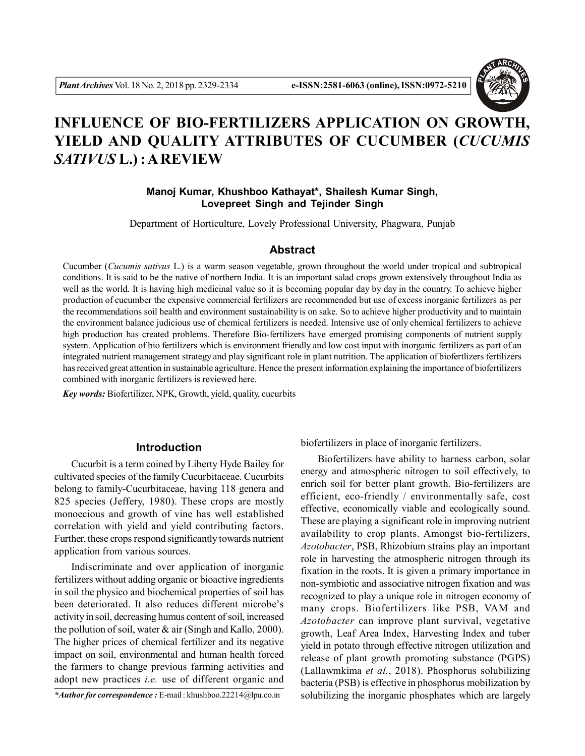

# **INFLUENCE OF BIO-FERTILIZERS APPLICATION ON GROWTH, YIELD AND QUALITY ATTRIBUTES OF CUCUMBER (***CUCUMIS SATIVUS* **L.) : A REVIEW**

## **Manoj Kumar, Khushboo Kathayat\*, Shailesh Kumar Singh, Lovepreet Singh and Tejinder Singh**

Department of Horticulture, Lovely Professional University, Phagwara, Punjab

#### **Abstract**

Cucumber (*Cucumis sativus* L.) is a warm season vegetable, grown throughout the world under tropical and subtropical conditions. It is said to be the native of northern India. It is an important salad crops grown extensively throughout India as well as the world. It is having high medicinal value so it is becoming popular day by day in the country. To achieve higher production of cucumber the expensive commercial fertilizers are recommended but use of excess inorganic fertilizers as per the recommendations soil health and environment sustainability is on sake. So to achieve higher productivity and to maintain the environment balance judicious use of chemical fertilizers is needed. Intensive use of only chemical fertilizers to achieve high production has created problems. Therefore Bio-fertilizers have emerged promising components of nutrient supply system. Application of bio fertilizers which is environment friendly and low cost input with inorganic fertilizers as part of an integrated nutrient management strategy and play significant role in plant nutrition. The application of biofertlizers fertilizers has received great attention in sustainable agriculture. Hence the present information explaining the importance of biofertilizers combined with inorganic fertilizers is reviewed here.

*Key words:* Biofertilizer, NPK, Growth, yield, quality, cucurbits

### **Introduction**

Cucurbit is a term coined by Liberty Hyde Bailey for cultivated species of the family Cucurbitaceae. Cucurbits belong to family-Cucurbitaceae, having 118 genera and 825 species (Jeffery, 1980). These crops are mostly monoecious and growth of vine has well established correlation with yield and yield contributing factors. Further, these crops respond significantly towards nutrient application from various sources.

Indiscriminate and over application of inorganic fertilizers without adding organic or bioactive ingredients in soil the physico and biochemical properties of soil has been deteriorated. It also reduces different microbe's activity in soil, decreasing humus content of soil, increased the pollution of soil, water  $\&$  air (Singh and Kallo, 2000). The higher prices of chemical fertilizer and its negative impact on soil, environmental and human health forced the farmers to change previous farming activities and adopt new practices *i.e.* use of different organic and

*\*Author for correspondence :* E-mail : khushboo.22214@lpu.co.in

biofertilizers in place of inorganic fertilizers.

Biofertilizers have ability to harness carbon, solar energy and atmospheric nitrogen to soil effectively, to enrich soil for better plant growth. Bio-fertilizers are efficient, eco-friendly / environmentally safe, cost effective, economically viable and ecologically sound. These are playing a significant role in improving nutrient availability to crop plants. Amongst bio-fertilizers, *Azotobacter*, PSB, Rhizobium strains play an important role in harvesting the atmospheric nitrogen through its fixation in the roots. It is given a primary importance in non-symbiotic and associative nitrogen fixation and was recognized to play a unique role in nitrogen economy of many crops. Biofertilizers like PSB, VAM and *Azotobacter* can improve plant survival, vegetative growth, Leaf Area Index, Harvesting Index and tuber yield in potato through effective nitrogen utilization and release of plant growth promoting substance (PGPS) (Lallawmkima *et al.*, 2018). Phosphorus solubilizing bacteria (PSB) is effective in phosphorus mobilization by solubilizing the inorganic phosphates which are largely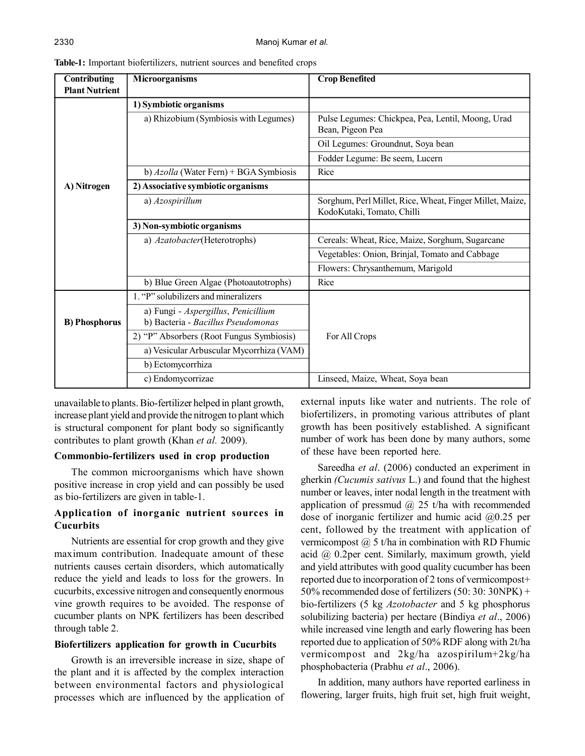| Contributing<br><b>Plant Nutrient</b> | Microorganisms                           | <b>Crop Benefited</b>                                                                  |  |
|---------------------------------------|------------------------------------------|----------------------------------------------------------------------------------------|--|
|                                       | 1) Symbiotic organisms                   |                                                                                        |  |
|                                       | a) Rhizobium (Symbiosis with Legumes)    | Pulse Legumes: Chickpea, Pea, Lentil, Moong, Urad<br>Bean, Pigeon Pea                  |  |
|                                       |                                          | Oil Legumes: Groundnut, Soya bean                                                      |  |
|                                       |                                          | Fodder Legume: Be seem, Lucern                                                         |  |
|                                       | b) Azolla (Water Fern) + BGA Symbiosis   | Rice                                                                                   |  |
| A) Nitrogen                           | 2) Associative symbiotic organisms       |                                                                                        |  |
|                                       | a) Azospirillum                          | Sorghum, Perl Millet, Rice, Wheat, Finger Millet, Maize,<br>KodoKutaki, Tomato, Chilli |  |
|                                       | 3) Non-symbiotic organisms               |                                                                                        |  |
|                                       | a) Azatobacter(Heterotrophs)             | Cereals: Wheat, Rice, Maize, Sorghum, Sugarcane                                        |  |
|                                       |                                          | Vegetables: Onion, Brinjal, Tomato and Cabbage                                         |  |
|                                       |                                          | Flowers: Chrysanthemum, Marigold                                                       |  |
|                                       | b) Blue Green Algae (Photoautotrophs)    | Rice                                                                                   |  |
|                                       | 1. "P" solubilizers and mineralizers     |                                                                                        |  |
|                                       | a) Fungi - Aspergillus, Penicillium      |                                                                                        |  |
| <b>B</b> ) Phosphorus                 | b) Bacteria - Bacillus Pseudomonas       |                                                                                        |  |
|                                       | 2) "P" Absorbers (Root Fungus Symbiosis) | For All Crops                                                                          |  |
|                                       | a) Vesicular Arbuscular Mycorrhiza (VAM) |                                                                                        |  |
|                                       | b) Ectomycorrhiza                        |                                                                                        |  |
|                                       | c) Endomycorrizae                        | Linseed, Maize, Wheat, Soya bean                                                       |  |

**Table-1:** Important biofertilizers, nutrient sources and benefited crops

unavailable to plants. Bio-fertilizer helped in plant growth, increase plant yield and provide the nitrogen to plant which is structural component for plant body so significantly contributes to plant growth (Khan *et al.* 2009).

### **Commonbio-fertilizers used in crop production**

The common microorganisms which have shown positive increase in crop yield and can possibly be used as bio-fertilizers are given in table-1.

## **Application of inorganic nutrient sources in Cucurbits**

Nutrients are essential for crop growth and they give maximum contribution. Inadequate amount of these nutrients causes certain disorders, which automatically reduce the yield and leads to loss for the growers. In cucurbits, excessive nitrogen and consequently enormous vine growth requires to be avoided. The response of cucumber plants on NPK fertilizers has been described through table 2.

## **Biofertilizers application for growth in Cucurbits**

Growth is an irreversible increase in size, shape of the plant and it is affected by the complex interaction between environmental factors and physiological processes which are influenced by the application of

external inputs like water and nutrients. The role of biofertilizers, in promoting various attributes of plant growth has been positively established. A significant number of work has been done by many authors, some of these have been reported here.

Sareedha *et al*. (2006) conducted an experiment in gherkin *(Cucumis sativus* L.) and found that the highest number or leaves, inter nodal length in the treatment with application of pressmud  $(a)$  25 t/ha with recommended dose of inorganic fertilizer and humic acid @0.25 per cent, followed by the treatment with application of vermicompost  $(a)$  5 t/ha in combination with RD Fhumic acid @ 0.2per cent. Similarly, maximum growth, yield and yield attributes with good quality cucumber has been reported due to incorporation of 2 tons of vermicompost+ 50% recommended dose of fertilizers  $(50:30:30NPK)$  + bio-fertilizers (5 kg *Azotobacter* and 5 kg phosphorus solubilizing bacteria) per hectare (Bindiya *et al*., 2006) while increased vine length and early flowering has been reported due to application of 50% RDF along with 2t/ha vermicompost and 2kg/ha azospirilum+2kg/ha phosphobacteria (Prabhu *et al*., 2006).

In addition, many authors have reported earliness in flowering, larger fruits, high fruit set, high fruit weight,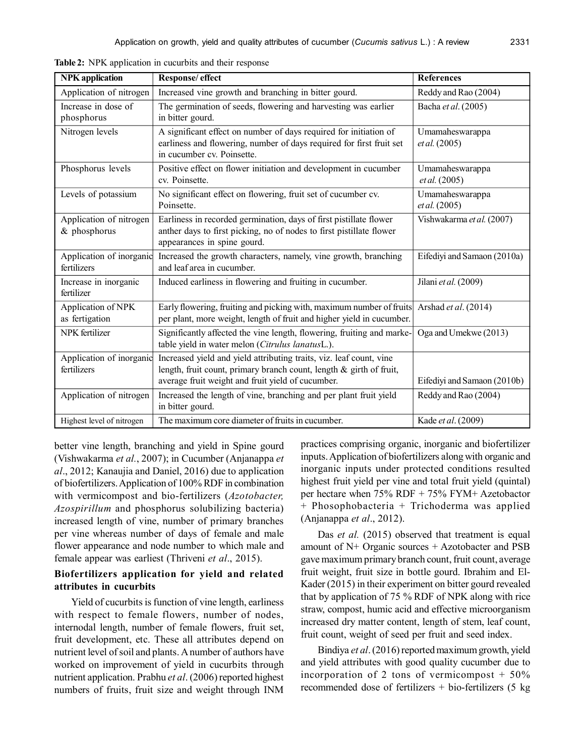| <b>NPK</b> application                    | Response/ effect                                                                                                                                                                                   | <b>References</b>                |
|-------------------------------------------|----------------------------------------------------------------------------------------------------------------------------------------------------------------------------------------------------|----------------------------------|
| Application of nitrogen                   | Increased vine growth and branching in bitter gourd.                                                                                                                                               | Reddy and Rao (2004)             |
| Increase in dose of<br>phosphorus         | The germination of seeds, flowering and harvesting was earlier<br>in bitter gourd.                                                                                                                 | Bacha et al. (2005)              |
| Nitrogen levels                           | A significant effect on number of days required for initiation of<br>earliness and flowering, number of days required for first fruit set<br>in cucumber cv. Poinsette.                            | Umamaheswarappa<br>et al. (2005) |
| Phosphorus levels                         | Positive effect on flower initiation and development in cucumber<br>cv. Poinsette.                                                                                                                 | Umamaheswarappa<br>et al. (2005) |
| Levels of potassium                       | No significant effect on flowering, fruit set of cucumber cv.<br>Poinsette.                                                                                                                        | Umamaheswarappa<br>et al. (2005) |
| Application of nitrogen<br>$&$ phosphorus | Earliness in recorded germination, days of first pistillate flower<br>anther days to first picking, no of nodes to first pistillate flower<br>appearances in spine gourd.                          | Vishwakarma et al. (2007)        |
| Application of inorganic<br>fertilizers   | Increased the growth characters, namely, vine growth, branching<br>and leaf area in cucumber.                                                                                                      | Eifediyi and Samaon (2010a)      |
| Increase in inorganic<br>fertilizer       | Induced earliness in flowering and fruiting in cucumber.                                                                                                                                           | Jilani et al. (2009)             |
| Application of NPK<br>as fertigation      | Early flowering, fruiting and picking with, maximum number of fruits<br>per plant, more weight, length of fruit and higher yield in cucumber.                                                      | Arshad et al. (2014)             |
| NPK fertilizer                            | Significantly affected the vine length, flowering, fruiting and marke-<br>table yield in water melon (Citrulus lanatusL.).                                                                         | Oga and Umekwe (2013)            |
| Application of inorganic<br>fertilizers   | Increased yield and yield attributing traits, viz. leaf count, vine<br>length, fruit count, primary branch count, length $\&$ girth of fruit,<br>average fruit weight and fruit yield of cucumber. | Eifediyi and Samaon (2010b)      |
| Application of nitrogen                   | Increased the length of vine, branching and per plant fruit yield<br>in bitter gourd.                                                                                                              | Reddy and Rao (2004)             |
| Highest level of nitrogen                 | The maximum core diameter of fruits in cucumber.                                                                                                                                                   | Kade et al. (2009)               |

**Table 2:** NPK application in cucurbits and their response

better vine length, branching and yield in Spine gourd (Vishwakarma *et al.*, 2007); in Cucumber (Anjanappa *et al*., 2012; Kanaujia and Daniel, 2016) due to application of biofertilizers. Application of 100% RDF in combination with vermicompost and bio-fertilizers (*Azotobacter, Azospirillum* and phosphorus solubilizing bacteria) increased length of vine, number of primary branches per vine whereas number of days of female and male flower appearance and node number to which male and female appear was earliest (Thriveni *et al*., 2015).

#### **Biofertilizers application for yield and related attributes in cucurbits**

Yield of cucurbits is function of vine length, earliness with respect to female flowers, number of nodes, internodal length, number of female flowers, fruit set, fruit development, etc. These all attributes depend on nutrient level of soil and plants. A number of authors have worked on improvement of yield in cucurbits through nutrient application. Prabhu *et al*. (2006) reported highest numbers of fruits, fruit size and weight through INM

practices comprising organic, inorganic and biofertilizer inputs. Application of biofertilizers along with organic and inorganic inputs under protected conditions resulted highest fruit yield per vine and total fruit yield (quintal) per hectare when 75% RDF + 75% FYM+ Azetobactor + Phosophobacteria + Trichoderma was applied (Anjanappa *et al*., 2012).

Das *et al.* (2015) observed that treatment is equal amount of N+ Organic sources + Azotobacter and PSB gave maximum primary branch count, fruit count, average fruit weight, fruit size in bottle gourd. Ibrahim and El-Kader (2015) in their experiment on bitter gourd revealed that by application of 75 % RDF of NPK along with rice straw, compost, humic acid and effective microorganism increased dry matter content, length of stem, leaf count, fruit count, weight of seed per fruit and seed index.

Bindiya *et al*. (2016) reported maximum growth, yield and yield attributes with good quality cucumber due to incorporation of 2 tons of vermicompost  $+50\%$ recommended dose of fertilizers  $+$  bio-fertilizers (5 kg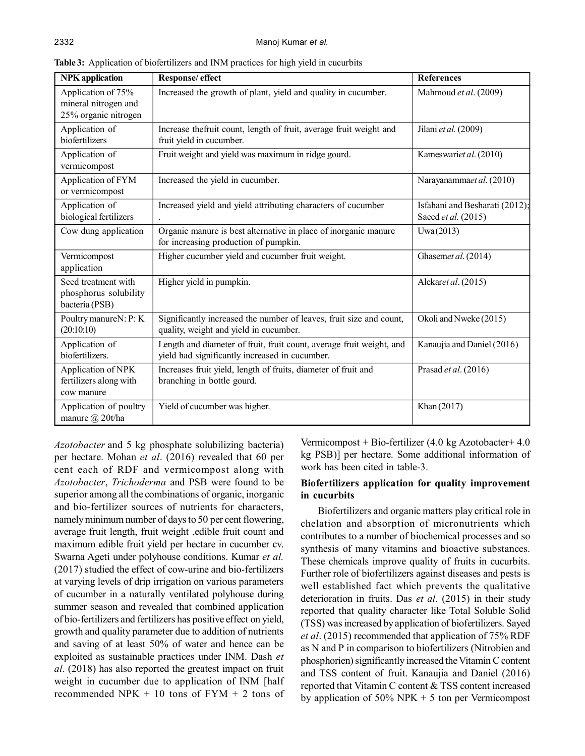| <b>NPK</b> application                                             | Response/ effect                                                                                                       | <b>References</b>                                     |
|--------------------------------------------------------------------|------------------------------------------------------------------------------------------------------------------------|-------------------------------------------------------|
| Application of 75%<br>mineral nitrogen and<br>25% organic nitrogen | Increased the growth of plant, yield and quality in cucumber.                                                          | Mahmoud et al. (2009)                                 |
| Application of<br>biofertilizers                                   | Increase thefruit count, length of fruit, average fruit weight and<br>fruit yield in cucumber.                         | Jilani et al. (2009)                                  |
| Application of<br>vermicompost                                     | Fruit weight and yield was maximum in ridge gourd.                                                                     | Kameswariet al. (2010)                                |
| Application of FYM<br>or vermicompost                              | Increased the yield in cucumber.                                                                                       | Narayanammaet al. (2010)                              |
| Application of<br>biological fertilizers                           | Increased yield and yield attributing characters of cucumber                                                           | Isfahani and Besharati (2012);<br>Saeed et al. (2015) |
| Cow dung application                                               | Organic manure is best alternative in place of inorganic manure<br>for increasing production of pumpkin.               | Uwa(2013)                                             |
| Vermicompost<br>application                                        | Higher cucumber yield and cucumber fruit weight.                                                                       | Ghasemet al. (2014)                                   |
| Seed treatment with<br>phosphorus solubility<br>bacteria (PSB)     | Higher yield in pumpkin.                                                                                               | Alekaret al. (2015)                                   |
| Poultry manureN: P: K<br>(20:10:10)                                | Significantly increased the number of leaves, fruit size and count,<br>quality, weight and yield in cucumber.          | Okoli and Nweke (2015)                                |
| Application of<br>biofertilizers.                                  | Length and diameter of fruit, fruit count, average fruit weight, and<br>yield had significantly increased in cucumber. | Kanaujia and Daniel (2016)                            |
| Application of NPK<br>fertilizers along with<br>cow manure         | Increases fruit yield, length of fruits, diameter of fruit and<br>branching in bottle gourd.                           | Prasad et al. (2016)                                  |
| Application of poultry<br>manure $(a)$ 20t/ha                      | Yield of cucumber was higher.                                                                                          | Khan (2017)                                           |

**Table 3:** Application of biofertilizers and INM practices for high yield in cucurbits

*Azotobacter* and 5 kg phosphate solubilizing bacteria) per hectare. Mohan *et al*. (2016) revealed that 60 per cent each of RDF and vermicompost along with *Azotobacter*, *Trichoderma* and PSB were found to be superior among all the combinations of organic, inorganic and bio-fertilizer sources of nutrients for characters, namely minimum number of days to 50 per cent flowering, average fruit length, fruit weight ,edible fruit count and maximum edible fruit yield per hectare in cucumber cv. Swarna Ageti under polyhouse conditions. Kumar *et al.* (2017) studied the effect of cow-urine and bio-fertilizers at varying levels of drip irrigation on various parameters of cucumber in a naturally ventilated polyhouse during summer season and revealed that combined application of bio-fertilizers and fertilizers has positive effect on yield, growth and quality parameter due to addition of nutrients and saving of at least 50% of water and hence can be exploited as sustainable practices under INM. Dash *et al.* (2018) has also reported the greatest impact on fruit weight in cucumber due to application of INM [half recommended NPK  $+ 10$  tons of FYM  $+ 2$  tons of

Vermicompost + Bio-fertilizer (4.0 kg Azotobacter+ 4.0 kg PSB)] per hectare. Some additional information of work has been cited in table-3.

## **Biofertilizers application for quality improvement in cucurbits**

Biofertilizers and organic matters play critical role in chelation and absorption of micronutrients which contributes to a number of biochemical processes and so synthesis of many vitamins and bioactive substances. These chemicals improve quality of fruits in cucurbits. Further role of biofertilizers against diseases and pests is well established fact which prevents the qualitative deterioration in fruits. Das et al. (2015) in their study reported that quality character like Total Soluble Solid (TSS) was increased by application of biofertilizers. Sayed *et al*. (2015) recommended that application of 75% RDF as N and P in comparison to biofertilizers (Nitrobien and phosphorien) significantly increased the Vitamin C content and TSS content of fruit. Kanaujia and Daniel (2016) reported that Vitamin C content & TSS content increased by application of  $50\%$  NPK + 5 ton per Vermicompost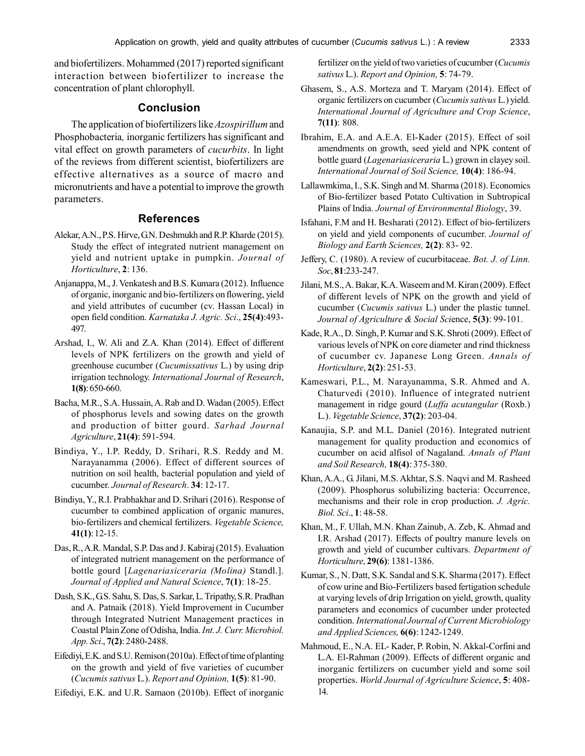and biofertilizers. Mohammed (2017) reported significant interaction between biofertilizer to increase the concentration of plant chlorophyll.

## **Conclusion**

The application of biofertilizers like *Azospirillum* and Phosphobacteria*,* inorganic fertilizers has significant and vital effect on growth parameters of *cucurbits*. In light of the reviews from different scientist, biofertilizers are effective alternatives as a source of macro and micronutrients and have a potential to improve the growth parameters.

#### **References**

- Alekar, A.N., P.S. Hirve, G.N. Deshmukh and R.P. Kharde (2015). Study the effect of integrated nutrient management on yield and nutrient uptake in pumpkin. *Journal of Horticulture*, **2**: 136.
- Anjanappa, M., J. Venkatesh and B.S. Kumara (2012). Influence of organic, inorganic and bio-fertilizers on flowering, yield and yield attributes of cucumber (cv. Hassan Local) in open field condition. *Karnataka J. Agric. Sci*., **25(4)**:493- 497.
- Arshad, I., W. Ali and Z.A. Khan (2014). Effect of different levels of NPK fertilizers on the growth and yield of greenhouse cucumber (*Cucumissativus* L.) by using drip irrigation technology. *International Journal of Research*, **1(8)**: 650-660.
- Bacha, M.R., S.A. Hussain, A. Rab and D. Wadan (2005). Effect of phosphorus levels and sowing dates on the growth and production of bitter gourd. *Sarhad Journal Agriculture*, **21(4)**: 591-594.
- Bindiya, Y., I.P. Reddy, D. Srihari, R.S. Reddy and M. Narayanamma (2006). Effect of different sources of nutrition on soil health, bacterial population and yield of cucumber. *Journal of Research*. **34**: 12-17.
- Bindiya, Y., R.I. Prabhakhar and D. Srihari (2016). Response of cucumber to combined application of organic manures, bio-fertilizers and chemical fertilizers. *Vegetable Science,* **41(1)**: 12-15.
- Das, R., A.R. Mandal, S.P. Das and J. Kabiraj (2015). Evaluation of integrated nutrient management on the performance of bottle gourd [*Lagenariasiceraria (Molina)* Standl.]. *Journal of Applied and Natural Science*, **7(1)**: 18-25.
- Dash, S.K., G.S. Sahu, S. Das, S. Sarkar, L. Tripathy, S.R. Pradhan and A. Patnaik (2018). Yield Improvement in Cucumber through Integrated Nutrient Management practices in Coastal Plain Zone of Odisha, India. *Int. J. Curr. Microbiol. App. Sci*., **7(2)**: 2480-2488.
- Eifediyi, E.K. and S.U. Remison (2010a). Effect of time of planting on the growth and yield of five varieties of cucumber (*Cucumis sativus* L.). *Report and Opinion,* **1(5)**: 81-90.
- Eifediyi, E.K. and U.R. Samaon (2010b). Effect of inorganic

fertilizer on the yield of two varieties of cucumber (*Cucumis sativus* L.). *Report and Opinion,* **5**: 74-79.

- Ghasem, S., A.S. Morteza and T. Maryam (2014). Effect of organic fertilizers on cucumber (*Cucumis sativus* L.) yield. *International Journal of Agriculture and Crop Science*, **7(11)**: 808.
- Ibrahim, E.A. and A.E.A. El-Kader (2015). Effect of soil amendments on growth, seed yield and NPK content of bottle guard (*Lagenariasiceraria* L.) grown in clayey soil. *International Journal of Soil Science,* **10(4)**: 186-94.
- Lallawmkima, I., S.K. Singh and M. Sharma (2018). Economics of Bio-fertilizer based Potato Cultivation in Subtropical Plains of India. *Journal of Environmental Biology*, 39.
- Isfahani, F.M and H. Besharati (2012). Effect of bio-fertilizers on yield and yield components of cucumber. *Journal of Biology and Earth Sciences,* **2(2)**: 83- 92.
- Jeffery, C. (1980). A review of cucurbitaceae. *Bot. J. of Linn. Soc*, **81**:233-247.
- Jilani, M.S., A. Bakar, K.A. Waseem and M. Kiran (2009). Effect of different levels of NPK on the growth and yield of cucumber (*Cucumis sativus* L.) under the plastic tunnel. *Journal of Agriculture & Social Sci*ence, **5(3)**: 99-101.
- Kade, R.A., D. Singh, P. Kumar and S.K. Shroti (2009). Effect of various levels of NPK on core diameter and rind thickness of cucumber cv. Japanese Long Green. *Annals of Horticulture*, **2(2)**: 251-53.
- Kameswari, P.L., M. Narayanamma, S.R. Ahmed and A. Chaturvedi (2010). Influence of integrated nutrient management in ridge gourd (*Luffa acutangular* (Roxb.) L.). *Vegetable Science*, **37(2)**: 203-04.
- Kanaujia, S.P. and M.L. Daniel (2016). Integrated nutrient management for quality production and economics of cucumber on acid alfisol of Nagaland. *Annals of Plant and Soil Research,* **18(4)**: 375-380.
- Khan, A.A., G. Jilani, M.S. Akhtar, S.S. Naqvi and M. Rasheed (2009). Phosphorus solubilizing bacteria: Occurrence, mechanisms and their role in crop production. *J. Agric. Biol. Sci*., **1**: 48-58.
- Khan, M., F. Ullah, M.N. Khan Zainub, A. Zeb, K. Ahmad and I.R. Arshad (2017). Effects of poultry manure levels on growth and yield of cucumber cultivars. *Department of Horticulture,* **29(6)**: 1381-1386.
- Kumar, S., N. Datt, S.K. Sandal and S.K. Sharma (2017). Effect of cow urine and Bio-Fertilizers based fertigation schedule at varying levels of drip Irrigation on yield, growth, quality parameters and economics of cucumber under protected condition. *International Journal of Current Microbiology and Applied Sciences,* **6(6)**: 1242-1249.
- Mahmoud, E., N.A. EL- Kader, P. Robin, N. Akkal-Corfini and L.A. El-Rahman (2009). Effects of different organic and inorganic fertilizers on cucumber yield and some soil properties. *World Journal of Agriculture Science*, **5**: 408- 14.